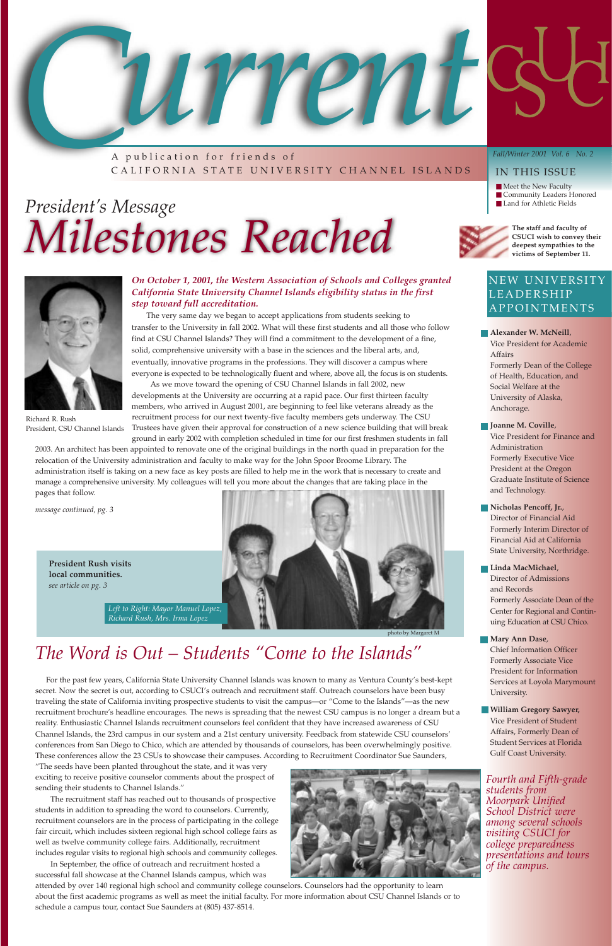A p ublication for friends of CALIFORNIA STATE UNIVERSITY CHANNEL ISLANDS

#### *Fall/Winter 2001 Vol. 6 No. 2*

#### IN THIS ISSUE

- Meet the New Faculty
- Community Leaders Honored
- 



## President's Message is a land for Athletic Fields **is a land for Athletic Fields** *Milestones Reached*

### *The Word is Out – Students "Come to the Islands"*

For the past few years, California State University Channel Islands was known to many as Ventura County's best-kept secret. Now the secret is out, according to CSUCI's outreach and recruitment staff. Outreach counselors have been busy

traveling the state of California inviting prospective students to visit the campus—or "Come to the Islands"—as the new recruitment brochure's headline encourages. The news is spreading that the newest CSU campus is no longer a dream but a reality. Enthusiastic Channel Islands recruitment counselors feel confident that they have increased awareness of CSU Channel Islands, the 23rd campus in our system and a 21st century university. Feedback from statewide CSU counselors' conferences from San Diego to Chico, which are attended by thousands of counselors, has been overwhelmingly positive. These conferences allow the 23 CSUs to showcase their campuses. According to Recruitment Coordinator Sue Saunders,



"The seeds have been planted throughout the state, and it was very exciting to receive positive counselor comments about the prospect of sending their students to Channel Islands."

The recruitment staff has reached out to thousands of prospective students in addition to spreading the word to counselors. Currently, recruitment counselors are in the process of participating in the college fair circuit, which includes sixteen regional high school college fairs as well as twelve community college fairs. Additionally, recruitment includes regular visits to regional high schools and community colleges.

In September, the office of outreach and recruitment hosted a successful fall showcase at the Channel Islands campus, which was attended by over 140 regional high school and community college counselors. Counselors had the opportunity to learn about the first academic programs as well as meet the initial faculty. For more information about CSU Channel Islands or to schedule a campus tour, contact Sue Saunders at (805) 437-8514.

### NEW UNIVERSITY LEADERSHIP APPOINTMENTS

#### *On October 1, 2001, the Western Association of Schools and Colleges granted California State University Channel Islands eligibility status in the first step toward full accreditation.*

The very same day we began to accept applications from students seeking to transfer to the University in fall 2002. What will these first students and all those who follow find at CSU Channel Islands? They will find a commitment to the development of a fine, solid, comprehensive university with a base in the sciences and the liberal arts, and, eventually, innovative programs in the professions. They will discover a campus where everyone is expected to be technologically fluent and where, above all, the focus is on students.

As we move toward the opening of CSU Channel Islands in fall 2002, new developments at the University are occurring at a rapid pace. Our first thirteen faculty members, who arrived in August 2001, are beginning to feel like veterans already as the recruitment process for our next twenty-five faculty members gets underway. The CSU Trustees have given their approval for construction of a new science building that will break ground in early 2002 with completion scheduled in time for our first freshmen students in fall

2003. An architect has been appointed to renovate one of the original buildings in the north quad in preparation for the relocation of the University administration and faculty to make way for the John Spoor Broome Library. The administration itself is taking on a new face as key posts are filled to help me in the work that is necessary to create and manage a comprehensive university. My colleagues will tell you more about the changes that are taking place in the pages that follow.

*message continued, pg. 3*



Richard R. Rush President, CSU Channel Islands

- **Alexander W. McNeill**, Vice President for Academic Affairs Formerly Dean of the College of Health, Education, and Social Welfare at the University of Alaska, Anchorage.
- **Joanne M. Coville**, Vice President for Finance and Administration Formerly Executive Vice President at the Oregon Graduate Institute of Science and Technology.
- **Nicholas Pencoff, Jr.**, Director of Financial Aid Formerly Interim Director of Financial Aid at California State University, Northridge.
- **Linda MacMichael**, Director of Admissions and Records Formerly Associate Dean of the Center for Regional and Continuing Education at CSU Chico.
- **Mary Ann Dase**, Chief Information Officer Formerly Associate Vice President for Information Services at Loyola Marymount University.

**William Gregory Sawyer,** Vice President of Student Affairs, Formerly Dean of Student Services at Florida Gulf Coast University.

*Fourth and Fifth-grade students from Moorpark Unified School District were among several schools visiting CSUCI for college preparedness presentations and tours of the campus.* 



to by Margaret M

*Left to Right: Mayor Manuel Lopez, Richard Rush, Mrs. Irma Lopez*



**President Rush visits local communities.** *see article on pg. 3*

**The staff and faculty of CSUCI wish to convey their deepest sympathies to the victims of September 11.**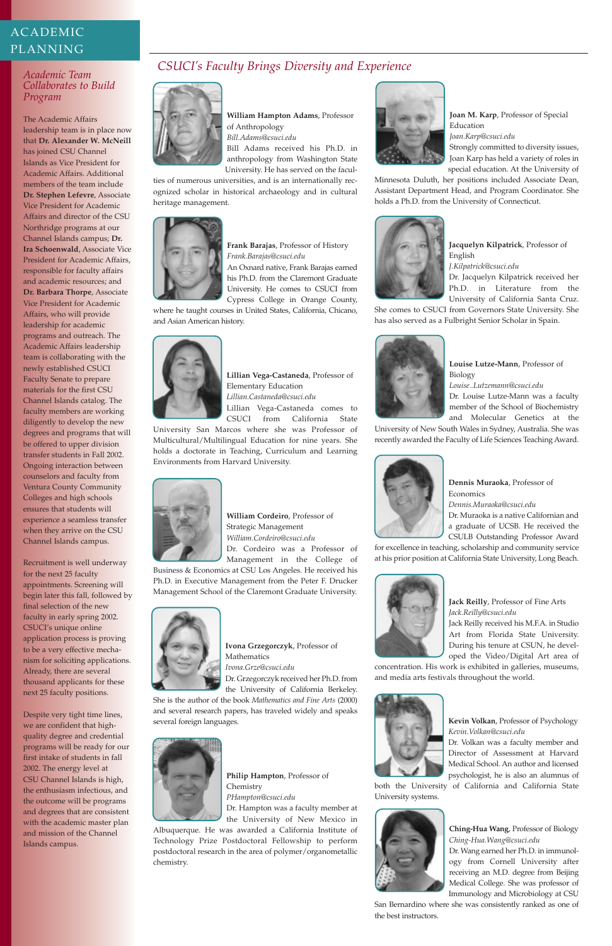

**Joan M. Karp**, Professor of Special Education

*Joan.Karp@csuci.edu*

Strongly committed to diversity issues, Joan Karp has held a variety of roles in special education. At the University of

Minnesota Duluth, her positions included Associate Dean, Assistant Department Head, and Program Coordinator. She holds a Ph.D. from the University of Connecticut.



**Jacquelyn Kilpatrick**, Professor of English *J.Kilpatrick@csuci.edu*

**Dennis Muraoka**, Professor of **Economics** 

Dr. Jacquelyn Kilpatrick received her Ph.D. in Literature from the University of California Santa Cruz.

She comes to CSUCI from Governors State University. She has also served as a Fulbright Senior Scholar in Spain.



**Louise Lutze-Mann**, Professor of Biology

*Louise..Lutzemann@csuci.edu*

Dr. Louise Lutze-Mann was a faculty member of the School of Biochemistry and Molecular Genetics at the

University of New South Wales in Sydney, Australia. She was recently awarded the Faculty of Life Sciences Teaching Award.



*Dennis.Muraoka@csuci.edu*

Dr. Muraoka is a native Californian and a graduate of UCSB. He received the CSULB Outstanding Professor Award

for excellence in teaching, scholarship and community service at his prior position at California State University, Long Beach.



**Jack Reilly**, Professor of Fine Arts *Jack.Reilly@csuci.edu*

Jack Reilly received his M.F.A. in Studio Art from Florida State University. During his tenure at CSUN, he developed the Video/Digital Art area of

concentration. His work is exhibited in galleries, museums, and media arts festivals throughout the world.

**Kevin Volkan**, Professor of Psychology *Kevin.Volkan@csuci.edu*

Dr. Volkan was a faculty member and Director of Assessment at Harvard Medical School. An author and licensed psychologist, he is also an alumnus of

both the University of California and California State University systems.



**Ching-Hua Wang**, Professor of Biology *Ching-Hua.Wang@csuci.edu* Dr. Wang earned her Ph.D. in immunology from Cornell University after receiving an M.D. degree from Beijing Medical College. She was professor of Immunology and Microbiology at CSU

San Bernardino where she was consistently ranked as one of the best instructors.

### ACADEMIC PLANNING

#### *Academic Team Collaborates to Build Program*

The Academic Affairs leadership team is in place now that **Dr. Alexander W. McNeill** has joined CSU Channel Islands as Vice President for Academic Affairs. Additional members of the team include **Dr. Stephen Lefevre**, Associate Vice President for Academic Affairs and director of the CSU Northridge programs at our Channel Islands campus; **Dr. Ira Schoenwald**, Associate Vice President for Academic Affairs, responsible for faculty affairs and academic resources; and **Dr. Barbara Thorpe**, Associate Vice President for Academic Affairs, who will provide leadership for academic programs and outreach. The Academic Affairs leadership team is collaborating with the newly established CSUCI Faculty Senate to prepare materials for the first CSU Channel Islands catalog. The faculty members are working diligently to develop the new degrees and programs that will be offered to upper division transfer students in Fall 2002. Ongoing interaction between counselors and faculty from Ventura County Community Colleges and high schools ensures that students will experience a seamless transfer when they arrive on the CSU Channel Islands campus.

Recruitment is well underway for the next 25 faculty appointments. Screening will begin later this fall, followed by final selection of the new faculty in early spring 2002. CSUCI's unique online application process is proving to be a very effective mechanism for soliciting applications. Already, there are several thousand applicants for these next 25 faculty positions.

Despite very tight time lines, we are confident that highquality degree and credential programs will be ready for our first intake of students in fall 2002. The energy level at CSU Channel Islands is high, the enthusiasm infectious, and the outcome will be programs and degrees that are consistent with the academic master plan and mission of the Channel Islands campus.

**William Hampton Adams**, Professor of Anthropology *Bill.Adams@csuci.edu* Bill Adams received his Ph.D. in anthropology from Washington State

University. He has served on the faculties of numerous universities, and is an internationally recognized scholar in historical archaeology and in cultural heritage management.



**Frank Barajas**, Professor of History *Frank.Barajas@csuci.edu*

An Oxnard native, Frank Barajas earned his Ph.D. from the Claremont Graduate University. He comes to CSUCI from Cypress College in Orange County,

where he taught courses in United States, California, Chicano, and Asian American history.



**Lillian Vega-Castaneda**, Professor of Elementary Education *Lillian.Castaneda@csuci.edu* Lillian Vega-Castaneda comes to CSUCI from California State

University San Marcos where she was Professor of Multicultural/Multilingual Education for nine years. She holds a doctorate in Teaching, Curriculum and Learning Environments from Harvard University.



**William Cordeiro**, Professor of Strategic Management *William.Cordeiro@csuci.edu* Dr. Cordeiro was a Professor of

Management in the College of

Business & Economics at CSU Los Angeles. He received his Ph.D. in Executive Management from the Peter F. Drucker Management School of the Claremont Graduate University.



**Ivona Grzegorczyk**, Professor of **Mathematics** *Ivona.Grze@csuci.edu* Dr. Grzegorczyk received her Ph.D. from the University of California Berkeley.

She is the author of the book *Mathematics and Fine Arts* (2000) and several research papers, has traveled widely and speaks several foreign languages.



**Philip Hampton**, Professor of Chemistry *PHampton@csuci.edu* Dr. Hampton was a faculty member at the University of New Mexico in

Albuquerque. He was awarded a California Institute of Technology Prize Postdoctoral Fellowship to perform postdoctoral research in the area of polymer/organometallic chemistry.



### *CSUCI's Faculty Brings Diversity and Experience*

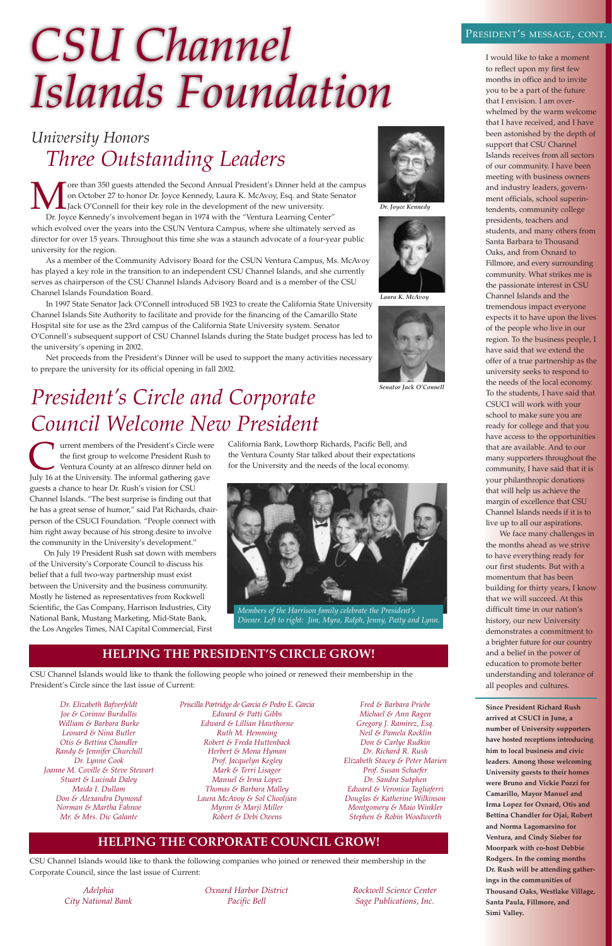# *CSU Channel Islands Foundation*

I would like to take a moment to reflect upon my first few months in office and to invite you to be a part of the future that I envision. I am overwhelmed by the warm welcome that I have received, and I have been astonished by the depth of support that CSU Channel Islands receives from all sectors of our community. I have been meeting with business owners and industry leaders, government officials, school superintendents, community college presidents, teachers and students, and many others from Santa Barbara to Thousand Oaks, and from Oxnard to Fillmore, and every surrounding community. What strikes me is the passionate interest in CSU Channel Islands and the tremendous impact everyone expects it to have upon the lives of the people who live in our region. To the business people, I have said that we extend the offer of a true partnership as the university seeks to respond to the needs of the local economy. To the students, I have said that CSUCI will work with your school to make sure you are ready for college and that you have access to the opportunities that are available. And to our many supporters throughout the community, I have said that it is your philanthropic donations that will help us achieve the margin of excellence that CSU Channel Islands needs if it is to live up to all our aspirations.

More than 350 guests attended the Second Annual President's Dinner held at the campus<br>on October 27 to honor Dr. Joyce Kennedy, Laura K. McAvoy, Esq. and State Senator<br>Dr. Joyce Kennedy's involvement began in 1974 with the on October 27 to honor Dr. Joyce Kennedy, Laura K. McAvoy, Esq. and State Senator Jack O'Connell for their key role in the development of the new university. Dr. Joyce Kennedy's involvement began in 1974 with the "Ventura Learning Center" which evolved over the years into the CSUN Ventura Campus, where she ultimately served as

> We face many challenges in the months ahead as we strive to have everything ready for our first students. But with a momentum that has been building for thirty years, I know that we will succeed. At this difficult time in our nation's history, our new University demonstrates a commitment to a brighter future for our country and a belief in the power of education to promote better understanding and tolerance of all peoples and cultures.

**Since President Richard Rush arrived at CSUCI in June, a number of University supporters have hosted receptions introducing him to local business and civic leaders. Among those welcoming University guests to their homes were Bruno and Vickie Pozzi for Camarillo, Mayor Manuel and Irma Lopez for Oxnard, Otis and Bettina Chandler for Ojai, Robert and Norma Lagomarsino for Ventura, and Cindy Sieber for Moorpark with co-host Debbie Rodgers. In the coming months Dr. Rush will be attending gatherings in the communities of Thousand Oaks, Westlake Village, Santa Paula, Fillmore, and Simi Valley.**

Turrent members of the President's Circle were<br>the first group to welcome President Rush to<br>Ventura County at an alfresco dinner held on<br>Iuly 16 at the University. The informal gathering gave the first group to welcome President Rush to Ventura County at an alfresco dinner held on July 16 at the University. The informal gathering gave guests a chance to hear Dr. Rush's vision for CSU Channel Islands. "The best surprise is finding out that he has a great sense of humor," said Pat Richards, chairperson of the CSUCI Foundation. "People connect with him right away because of his strong desire to involve the community in the University's development."

### *University Honors Three Outstanding Leaders*

director for over 15 years. Throughout this time she was a staunch advocate of a four-year public university for the region.

As a member of the Community Advisory Board for the CSUN Ventura Campus, Ms. McAvoy has played a key role in the transition to an independent CSU Channel Islands, and she currently serves as chairperson of the CSU Channel Islands Advisory Board and is a member of the CSU Channel Islands Foundation Board.

In 1997 State Senator Jack O'Connell introduced SB 1923 to create the California State University Channel Islands Site Authority to facilitate and provide for the financing of the Camarillo State Hospital site for use as the 23rd campus of the California State University system. Senator O'Connell's subsequent support of CSU Channel Islands during the State budget process has led to the university's opening in 2002.

Net proceeds from the President's Dinner will be used to support the many activities necessary to prepare the university for its official opening in fall 2002.



*Dr. Joyce Kennedy*



*Laura K. McAvoy*



*Senator Jack O'Connell*

On July 19 President Rush sat down with members of the University's Corporate Council to discuss his belief that a full two-way partnership must exist between the University and the business community. Mostly he listened as representatives from Rockwell Scientific, the Gas Company, Harrison Industries, City National Bank, Mustang Marketing, Mid-State Bank, the Los Angeles Times, NAI Capital Commercial, First

California Bank, Lowthorp Richards, Pacific Bell, and the Ventura County Star talked about their expectations for the University and the needs of the local economy.

## *President's Circle and Corporate Council Welcome New President*

### **HELPING THE PRESIDENT'S CIRCLE GROW!**

### **HELPING THE CORPORATE COUNCIL GROW!**

CSU Channel Islands would like to thank the following people who joined or renewed their membership in the President's Circle since the last issue of Current:

*Dr. Elizabeth Bafverfeldt Joe & Corinne Burdullis William & Barbara Burke Leonard & Nina Butler Otis & Bettina Chandler Randy & Jennifer Churchill Dr. Lynne Cook Joanne M. Coville & Steve Stewart Stuart & Lucinda Daley Maida I. Dullam Don & Alexandra Dymond Norman & Martha Fahnoe Mr. & Mrs. Dic Galante*

*Priscilla Partridge de Garcia & Pedro E. Garcia Edward & Patti Gibbs Edward & Lillian Hawthorne Ruth M. Hemming Robert & Freda Huttenback Herbert & Mona Hyman Prof. Jacquelyn Kegley Mark & Terri Lisagor Manuel & Irma Lopez Thomas & Barbara Malley Laura McAvoy & Sol Chooljian Myron & Marji Miller Robert & Debi Owens*

*Fred & Barbara Priebe Michael & Ann Ragen Gregory J. Ramirez, Esq. Neil & Pamela Rocklin Don & Carlye Rudkin Dr. Richard R. Rush Elizabeth Stacey & Peter Marien Prof. Susan Schaefer Dr. Sandra Sutphen Edward & Veronica Tagliaferri Douglas & Katherine Wilkinson Montgomery & Maio Winkler Stephen & Robin Woodworth*

CSU Channel Islands would like to thank the following companies who joined or renewed their membership in the Corporate Council, since the last issue of Current:

*Adelphia City National Bank* *Oxnard Harbor District Pacific Bell*

*Rockwell Science Center Sage Publications, Inc.*

### PRESIDENT'S MESSAGE, CONT.



*Members of the Harrison family celebrate the President's Dinner. Left to right: Jim, Myra, Ralph, Jenny, Patty and Lynn.*